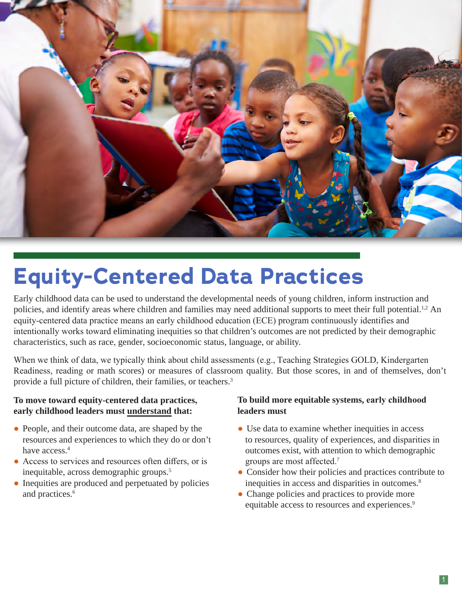

# **Equity-Centered Data Practices**

Early childhood data can be used to understand the developmental needs of young children, inform instruction and policies, and identify areas where children and families may need additional supports to meet their full potential.<sup>1,2</sup> An equity-centered data practice means an early childhood education (ECE) program continuously identifies and intentionally works toward eliminating inequities so that children's outcomes are not predicted by their demographic characteristics, such as race, gender, socioeconomic status, language, or ability.

When we think of data, we typically think about child assessments (e.g., Teaching Strategies GOLD, Kindergarten Readiness, reading or math scores) or measures of classroom quality. But those scores, in and of themselves, don't provide a full picture of children, their families, or teachers.<sup>3</sup>

#### **To move toward equity-centered data practices, early childhood leaders must understand that:**

- People, and their outcome data, are shaped by the resources and experiences to which they do or don't have access.<sup>4</sup>
- Access to services and resources often differs, or is inequitable, across demographic groups.5
- Inequities are produced and perpetuated by policies and practices.<sup>6</sup>

#### **To build more equitable systems, early childhood leaders must**

- Use data to examine whether inequities in access to resources, quality of experiences, and disparities in outcomes exist, with attention to which demographic groups are most affected.<sup>7</sup>
- Consider how their policies and practices contribute to inequities in access and disparities in outcomes.<sup>8</sup>
- Change policies and practices to provide more equitable access to resources and experiences.9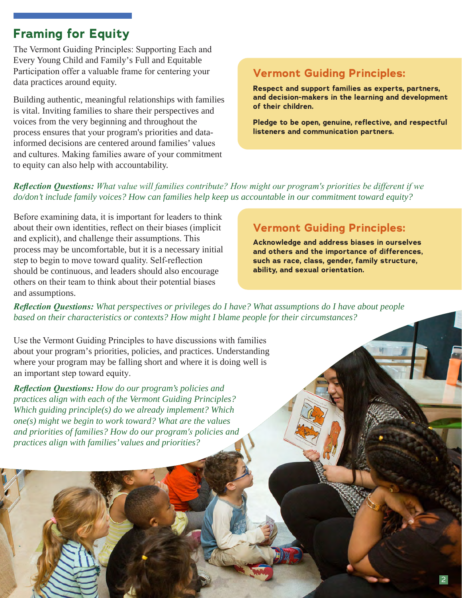## **Framing for Equity**

The Vermont Guiding Principles: Supporting Each and Every Young Child and Family's Full and Equitable Participation offer a valuable frame for centering your data practices around equity.

Building authentic, meaningful relationships with families is vital. Inviting families to share their perspectives and voices from the very beginning and throughout the process ensures that your program's priorities and datainformed decisions are centered around families' values and cultures. Making families aware of your commitment to equity can also help with accountability.

### **Vermont Guiding Principles:**

**Respect and support families as experts, partners, and decision-makers in the learning and development of their children.**

**Pledge to be open, genuine, reflective, and respectful listeners and communication partners.**

#### *Reflection Questions: What value will families contribute? How might our program's priorities be different if we do/don't include family voices? How can families help keep us accountable in our commitment toward equity?*

Before examining data, it is important for leaders to think about their own identities, reflect on their biases (implicit and explicit), and challenge their assumptions. This process may be uncomfortable, but it is a necessary initial step to begin to move toward quality. Self-reflection should be continuous, and leaders should also encourage others on their team to think about their potential biases and assumptions.

## **Vermont Guiding Principles:**

**Acknowledge and address biases in ourselves and others and the importance of differences, such as race, class, gender, family structure, ability, and sexual orientation.**

*Reflection Questions: What perspectives or privileges do I have? What assumptions do I have about people based on their characteristics or contexts? How might I blame people for their circumstances?* 

Use the Vermont Guiding Principles to have discussions with families about your program's priorities, policies, and practices. Understanding where your program may be falling short and where it is doing well is an important step toward equity.

*Reflection Questions: How do our program's policies and practices align with each of the Vermont Guiding Principles? Which guiding principle(s) do we already implement? Which one(s) might we begin to work toward? What are the values and priorities of families? How do our program's policies and practices align with families' values and priorities?*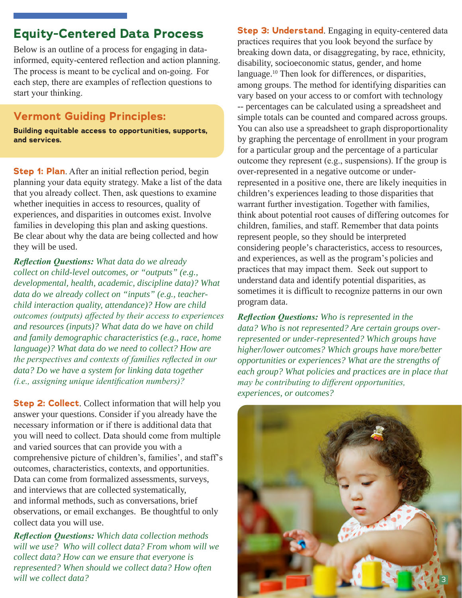## **Equity-Centered Data Process**

Below is an outline of a process for engaging in datainformed, equity-centered reflection and action planning. The process is meant to be cyclical and on-going. For each step, there are examples of reflection questions to start your thinking.

#### **Vermont Guiding Principles:**

**Building equitable access to opportunities, supports, and services.**

**Step 1: Plan.** After an initial reflection period, begin planning your data equity strategy. Make a list of the data that you already collect. Then, ask questions to examine whether inequities in access to resources, quality of experiences, and disparities in outcomes exist. Involve families in developing this plan and asking questions. Be clear about why the data are being collected and how they will be used.

*Reflection Questions: What data do we already collect on child-level outcomes, or "outputs" (e.g., developmental, health, academic, discipline data)? What data do we already collect on "inputs" (e.g., teacherchild interaction quality, attendance)? How are child outcomes (outputs) affected by their access to experiences and resources (inputs)? What data do we have on child and family demographic characteristics (e.g., race, home language)? What data do we need to collect? How are the perspectives and contexts of families reflected in our data? Do we have a system for linking data together (i.e., assigning unique identification numbers)?* 

**Step 2: Collect.** Collect information that will help you answer your questions. Consider if you already have the necessary information or if there is additional data that you will need to collect. Data should come from multiple and varied sources that can provide you with a comprehensive picture of children's, families', and staff's outcomes, characteristics, contexts, and opportunities. Data can come from formalized assessments, surveys, and interviews that are collected systematically, and informal methods, such as conversations, brief observations, or email exchanges. Be thoughtful to only collect data you will use.

*Reflection Questions: Which data collection methods will we use? Who will collect data? From whom will we collect data? How can we ensure that everyone is represented? When should we collect data? How often will we collect data?*

**Step 3: Understand.** Engaging in equity-centered data practices requires that you look beyond the surface by breaking down data, or disaggregating, by race, ethnicity, disability, socioeconomic status, gender, and home language.<sup>10</sup> Then look for differences, or disparities, among groups. The method for identifying disparities can vary based on your access to or comfort with technology -- percentages can be calculated using a spreadsheet and simple totals can be counted and compared across groups. You can also use a spreadsheet to graph disproportionality by graphing the percentage of enrollment in your program for a particular group and the percentage of a particular outcome they represent (e.g., suspensions). If the group is over-represented in a negative outcome or underrepresented in a positive one, there are likely inequities in children's experiences leading to those disparities that warrant further investigation. Together with families, think about potential root causes of differing outcomes for children, families, and staff. Remember that data points represent people, so they should be interpreted considering people's characteristics, access to resources, and experiences, as well as the program's policies and practices that may impact them. Seek out support to understand data and identify potential disparities, as sometimes it is difficult to recognize patterns in our own program data.

*Reflection Questions: Who is represented in the data? Who is not represented? Are certain groups overrepresented or under-represented? Which groups have higher/lower outcomes? Which groups have more/better opportunities or experiences? What are the strengths of each group? What policies and practices are in place that may be contributing to different opportunities, experiences, or outcomes?* 

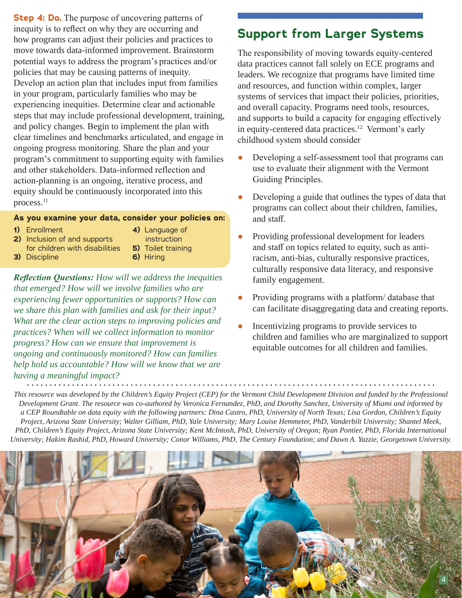**Step 4: Do.** The purpose of uncovering patterns of inequity is to reflect on why they are occurring and how programs can adjust their policies and practices to move towards data-informed improvement. Brainstorm potential ways to address the program's practices and/or policies that may be causing patterns of inequity. Develop an action plan that includes input from families in your program, particularly families who may be experiencing inequities. Determine clear and actionable steps that may include professional development, training, and policy changes. Begin to implement the plan with clear timelines and benchmarks articulated, and engage in ongoing progress monitoring. Share the plan and your program's commitment to supporting equity with families and other stakeholders. Data-informed reflection and action-planning is an ongoing, iterative process, and equity should be continuously incorporated into this process.<sup>11</sup>

#### **As you examine your data, consider your policies on:**

**1)** Enrollment

- **4)** Language of
- **2)** Inclusion of and supports for children with disabilities
- instruction
- **5)** Toilet training
- **3)** Discipline

**6)** Hiring

*Reflection Questions: How will we address the inequities that emerged? How will we involve families who are experiencing fewer opportunities or supports? How can we share this plan with families and ask for their input? What are the clear action steps to improving policies and practices? When will we collect information to monitor progress? How can we ensure that improvement is ongoing and continuously monitored? How can families help hold us accountable? How will we know that we are having a meaningful impact?* 

## **Support from Larger Systems**

The responsibility of moving towards equity-centered data practices cannot fall solely on ECE programs and leaders. We recognize that programs have limited time and resources, and function within complex, larger systems of services that impact their policies, priorities, and overall capacity. Programs need tools, resources, and supports to build a capacity for engaging effectively in equity-centered data practices.<sup>12</sup> Vermont's early childhood system should consider

- Developing a self-assessment tool that programs can use to evaluate their alignment with the Vermont Guiding Principles.
- Developing a guide that outlines the types of data that programs can collect about their children, families, and staff.
- Providing professional development for leaders and staff on topics related to equity, such as antiracism, anti-bias, culturally responsive practices, culturally responsive data literacy, and responsive family engagement.
- Providing programs with a platform/ database that can facilitate disaggregating data and creating reports.
- Incentivizing programs to provide services to children and families who are marginalized to support equitable outcomes for all children and families.

*This resource was developed by the Children's Equity Project (CEP) for the Vermont Child Development Division and funded by the Professional Development Grant. The resource was co-authored by Veronica Fernandez, PhD, and Dorothy Sanchez, University of Miami and informed by a CEP Roundtable on data equity with the following partners: Dina Castro, PhD, University of North Texas; Lisa Gordon, Children's Equity Project, Arizona State University; Walter Gilliam, PhD, Yale University; Mary Louise Hemmeter, PhD, Vanderbilt University; Shantel Meek, PhD, Children's Equity Project, Arizona State University; Kent McIntosh, PhD, University of Oregon; Ryan Pontier, PhD, Florida International University; Hakim Rashid, PhD, Howard University; Conor Williams, PhD, The Century Foundation; and Dawn A. Yazzie, Georgetown University.*